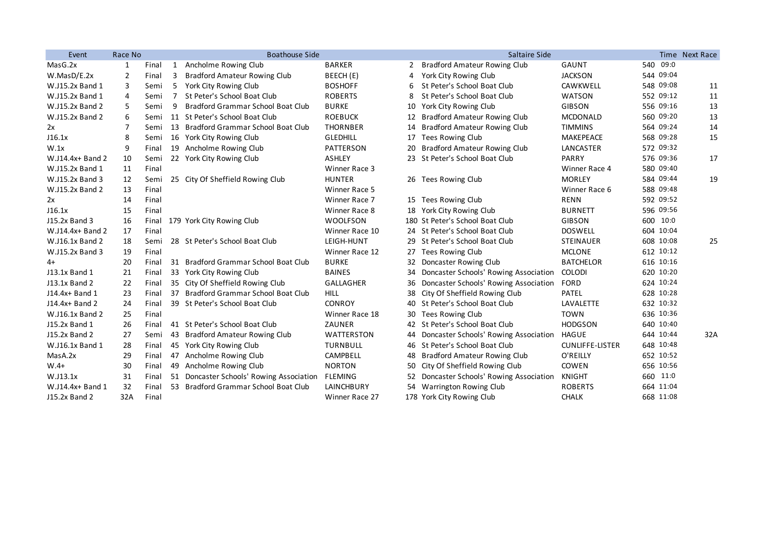| Event            | Race No        |       |                | <b>Boathouse Side</b>                    |                   |    | Saltaire Side                         |                        |           | Time Next Race |
|------------------|----------------|-------|----------------|------------------------------------------|-------------------|----|---------------------------------------|------------------------|-----------|----------------|
| MasG.2x          | 1              | Final | 1              | Ancholme Rowing Club                     | <b>BARKER</b>     | 2  | <b>Bradford Amateur Rowing Club</b>   | <b>GAUNT</b>           | 540 09:0  |                |
| W.MasD/E.2x      | $\overline{2}$ | Final | 3              | <b>Bradford Amateur Rowing Club</b>      | BEECH (E)         | 4  | York City Rowing Club                 | <b>JACKSON</b>         | 544 09:04 |                |
| W.J15.2x Band 1  | 3              | Semi  | 5              | York City Rowing Club                    | <b>BOSHOFF</b>    | 6  | St Peter's School Boat Club           | CAWKWELL               | 548 09:08 | 11             |
| W.J15.2x Band 1  | 4              | Semi  | $\overline{7}$ | St Peter's School Boat Club              | <b>ROBERTS</b>    | 8  | St Peter's School Boat Club           | <b>WATSON</b>          | 552 09:12 | 11             |
| W.J15.2x Band 2  | 5              | Semi  | 9              | Bradford Grammar School Boat Club        | <b>BURKE</b>      | 10 | York City Rowing Club                 | <b>GIBSON</b>          | 556 09:16 | 13             |
| W.J15.2x Band 2  | 6              | Semi  |                | 11 St Peter's School Boat Club           | <b>ROEBUCK</b>    | 12 | <b>Bradford Amateur Rowing Club</b>   | <b>MCDONALD</b>        | 560 09:20 | 13             |
| 2x               | $\overline{7}$ | Semi  |                | 13 Bradford Grammar School Boat Club     | <b>THORNBER</b>   | 14 | <b>Bradford Amateur Rowing Club</b>   | <b>TIMMINS</b>         | 564 09:24 | 14             |
| J16.1x           | 8              | Semi  |                | 16 York City Rowing Club                 | <b>GLEDHILL</b>   | 17 | <b>Tees Rowing Club</b>               | MAKEPEACE              | 568 09:28 | 15             |
| W.1x             | 9              | Final |                | 19 Ancholme Rowing Club                  | <b>PATTERSON</b>  | 20 | <b>Bradford Amateur Rowing Club</b>   | LANCASTER              | 572 09:32 |                |
| W.J14.4x+ Band 2 | 10             | Semi  |                | 22 York City Rowing Club                 | <b>ASHLEY</b>     |    | 23 St Peter's School Boat Club        | PARRY                  | 576 09:36 | 17             |
| W.J15.2x Band 1  | 11             | Final |                |                                          | Winner Race 3     |    |                                       | Winner Race 4          | 580 09:40 |                |
| W.J15.2x Band 3  | 12             | Semi  |                | 25 City Of Sheffield Rowing Club         | <b>HUNTER</b>     |    | 26 Tees Rowing Club                   | <b>MORLEY</b>          | 584 09:44 | 19             |
| W.J15.2x Band 2  | 13             | Final |                |                                          | Winner Race 5     |    |                                       | Winner Race 6          | 588 09:48 |                |
| 2x               | 14             | Final |                |                                          | Winner Race 7     |    | 15 Tees Rowing Club                   | <b>RENN</b>            | 592 09:52 |                |
| J16.1x           | 15             | Final |                |                                          | Winner Race 8     |    | 18 York City Rowing Club              | <b>BURNETT</b>         | 596 09:56 |                |
| J15.2x Band 3    | 16             | Final |                | 179 York City Rowing Club                | <b>WOOLFSON</b>   |    | 180 St Peter's School Boat Club       | <b>GIBSON</b>          | 600 10:0  |                |
| W.J14.4x+ Band 2 | 17             | Final |                |                                          | Winner Race 10    |    | 24 St Peter's School Boat Club        | <b>DOSWELL</b>         | 604 10:04 |                |
| W.J16.1x Band 2  | 18             | Semi  |                | 28 St Peter's School Boat Club           | LEIGH-HUNT        |    | 29 St Peter's School Boat Club        | <b>STEINAUER</b>       | 608 10:08 | 25             |
| W.J15.2x Band 3  | 19             | Final |                |                                          | Winner Race 12    | 27 | Tees Rowing Club                      | <b>MCLONE</b>          | 612 10:12 |                |
| 4+               | 20             | Final |                | 31 Bradford Grammar School Boat Club     | <b>BURKE</b>      | 32 | Doncaster Rowing Club                 | <b>BATCHELOR</b>       | 616 10:16 |                |
| J13.1x Band 1    | 21             | Final |                | 33 York City Rowing Club                 | <b>BAINES</b>     | 34 | Doncaster Schools' Rowing Association | <b>COLODI</b>          | 620 10:20 |                |
| J13.1x Band 2    | 22             | Final |                | 35 City Of Sheffield Rowing Club         | <b>GALLAGHER</b>  | 36 | Doncaster Schools' Rowing Association | <b>FORD</b>            | 624 10:24 |                |
| J14.4x+ Band 1   | 23             | Final |                | 37 Bradford Grammar School Boat Club     | <b>HILL</b>       | 38 | City Of Sheffield Rowing Club         | PATEL                  | 628 10:28 |                |
| J14.4x+ Band 2   | 24             | Final |                | 39 St Peter's School Boat Club           | <b>CONROY</b>     |    | 40 St Peter's School Boat Club        | LAVALETTE              | 632 10:32 |                |
| W.J16.1x Band 2  | 25             | Final |                |                                          | Winner Race 18    | 30 | <b>Tees Rowing Club</b>               | <b>TOWN</b>            | 636 10:36 |                |
| J15.2x Band 1    | 26             | Final |                | 41 St Peter's School Boat Club           | ZAUNER            | 42 | St Peter's School Boat Club           | <b>HODGSON</b>         | 640 10:40 |                |
| J15.2x Band 2    | 27             | Semi  |                | 43 Bradford Amateur Rowing Club          | <b>WATTERSTON</b> | 44 | Doncaster Schools' Rowing Association | HAGUE                  | 644 10:44 | 32A            |
| W.J16.1x Band 1  | 28             | Final |                | 45 York City Rowing Club                 | <b>TURNBULL</b>   |    | 46 St Peter's School Boat Club        | <b>CUNLIFFE-LISTER</b> | 648 10:48 |                |
| MasA.2x          | 29             | Final |                | 47 Ancholme Rowing Club                  | <b>CAMPBELL</b>   | 48 | <b>Bradford Amateur Rowing Club</b>   | O'REILLY               | 652 10:52 |                |
| $W.4+$           | 30             | Final |                | 49 Ancholme Rowing Club                  | <b>NORTON</b>     | 50 | City Of Sheffield Rowing Club         | COWEN                  | 656 10:56 |                |
| W.J13.1x         | 31             | Final |                | 51 Doncaster Schools' Rowing Association | FLEMING           | 52 | Doncaster Schools' Rowing Association | KNIGHT                 | 660 11:0  |                |
| W.J14.4x+ Band 1 | 32             | Final |                | 53 Bradford Grammar School Boat Club     | <b>LAINCHBURY</b> |    | 54 Warrington Rowing Club             | <b>ROBERTS</b>         | 664 11:04 |                |
| J15.2x Band 2    | 32A            | Final |                |                                          | Winner Race 27    |    | 178 York City Rowing Club             | <b>CHALK</b>           | 668 11:08 |                |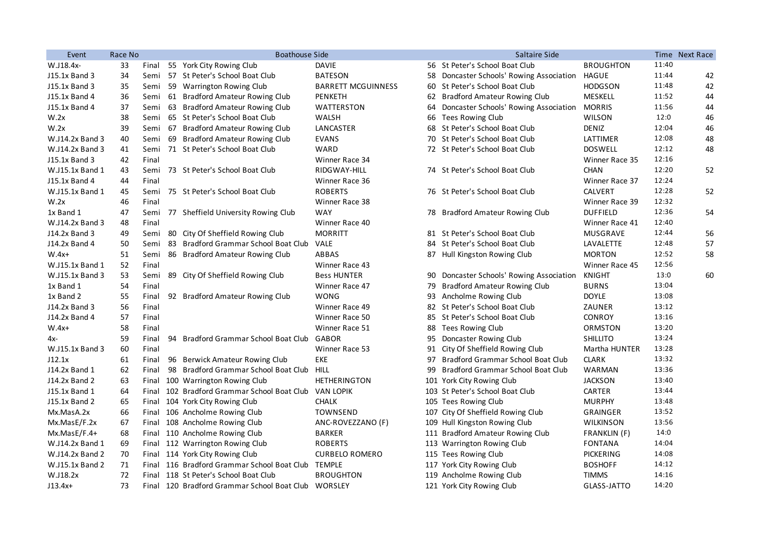| Event           | Race No |       | <b>Boathouse Side</b> |                                                       |                           | Saltaire Side |                                          |                  | Time Next Race |    |
|-----------------|---------|-------|-----------------------|-------------------------------------------------------|---------------------------|---------------|------------------------------------------|------------------|----------------|----|
| W.J18.4x-       | 33      | Final |                       | 55 York City Rowing Club                              | <b>DAVIE</b>              |               | 56 St Peter's School Boat Club           | <b>BROUGHTON</b> | 11:40          |    |
| J15.1x Band 3   | 34      | Semi  |                       | 57 St Peter's School Boat Club                        | <b>BATESON</b>            |               | 58 Doncaster Schools' Rowing Association | HAGUE            | 11:44          | 42 |
| J15.1x Band 3   | 35      | Semi  |                       | 59 Warrington Rowing Club                             | <b>BARRETT MCGUINNESS</b> |               | 60 St Peter's School Boat Club           | <b>HODGSON</b>   | 11:48          | 42 |
| J15.1x Band 4   | 36      | Semi  |                       | 61 Bradford Amateur Rowing Club                       | PENKETH                   |               | 62 Bradford Amateur Rowing Club          | MESKELL          | 11:52          | 44 |
| J15.1x Band 4   | 37      | Semi  |                       | 63 Bradford Amateur Rowing Club                       | WATTERSTON                | 64            | Doncaster Schools' Rowing Association    | <b>MORRIS</b>    | 11:56          | 44 |
| W.2x            | 38      | Semi  |                       | 65 St Peter's School Boat Club                        | WALSH                     | 66            | Tees Rowing Club                         | <b>WILSON</b>    | 12:0           | 46 |
| W.2x            | 39      | Semi  |                       | 67 Bradford Amateur Rowing Club                       | LANCASTER                 |               | 68 St Peter's School Boat Club           | <b>DENIZ</b>     | 12:04          | 46 |
| W.J14.2x Band 3 | 40      | Semi  |                       | 69 Bradford Amateur Rowing Club                       | <b>EVANS</b>              |               | 70 St Peter's School Boat Club           | LATTIMER         | 12:08          | 48 |
| W.J14.2x Band 3 | 41      | Semi  |                       | 71 St Peter's School Boat Club                        | WARD                      |               | 72 St Peter's School Boat Club           | <b>DOSWELL</b>   | 12:12          | 48 |
| J15.1x Band 3   | 42      | Final |                       |                                                       | Winner Race 34            |               |                                          | Winner Race 35   | 12:16          |    |
| W.J15.1x Band 1 | 43      | Semi  |                       | 73 St Peter's School Boat Club                        | RIDGWAY-HILL              |               | 74 St Peter's School Boat Club           | <b>CHAN</b>      | 12:20          | 52 |
| J15.1x Band 4   | 44      | Final |                       |                                                       | Winner Race 36            |               |                                          | Winner Race 37   | 12:24          |    |
| W.J15.1x Band 1 | 45      | Semi  |                       | 75 St Peter's School Boat Club                        | <b>ROBERTS</b>            |               | 76 St Peter's School Boat Club           | <b>CALVERT</b>   | 12:28          | 52 |
| W.2x            | 46      | Final |                       |                                                       | Winner Race 38            |               |                                          | Winner Race 39   | 12:32          |    |
| 1x Band 1       | 47      | Semi  |                       | 77 Sheffield University Rowing Club                   | <b>WAY</b>                |               | 78 Bradford Amateur Rowing Club          | <b>DUFFIELD</b>  | 12:36          | 54 |
| W.J14.2x Band 3 | 48      | Final |                       |                                                       | Winner Race 40            |               |                                          | Winner Race 41   | 12:40          |    |
| J14.2x Band 3   | 49      | Semi  |                       | 80 City Of Sheffield Rowing Club                      | <b>MORRITT</b>            |               | 81 St Peter's School Boat Club           | MUSGRAVE         | 12:44          | 56 |
| J14.2x Band 4   | 50      | Semi  |                       | 83 Bradford Grammar School Boat Club                  | <b>VALE</b>               |               | 84 St Peter's School Boat Club           | LAVALETTE        | 12:48          | 57 |
| $W.4x+$         | 51      | Semi  |                       | 86 Bradford Amateur Rowing Club                       | ABBAS                     |               | 87 Hull Kingston Rowing Club             | <b>MORTON</b>    | 12:52          | 58 |
| W.J15.1x Band 1 | 52      | Final |                       |                                                       | Winner Race 43            |               |                                          | Winner Race 45   | 12:56          |    |
| W.J15.1x Band 3 | 53      | Semi  |                       | 89 City Of Sheffield Rowing Club                      | <b>Bess HUNTER</b>        |               | 90 Doncaster Schools' Rowing Association | <b>KNIGHT</b>    | 13:0           | 60 |
| 1x Band 1       | 54      | Final |                       |                                                       | Winner Race 47            | 79            | <b>Bradford Amateur Rowing Club</b>      | <b>BURNS</b>     | 13:04          |    |
| 1x Band 2       | 55      | Final |                       | 92 Bradford Amateur Rowing Club                       | <b>WONG</b>               |               | 93 Ancholme Rowing Club                  | <b>DOYLE</b>     | 13:08          |    |
| J14.2x Band 3   | 56      | Final |                       |                                                       | Winner Race 49            |               | 82 St Peter's School Boat Club           | ZAUNER           | 13:12          |    |
| J14.2x Band 4   | 57      | Final |                       |                                                       | Winner Race 50            |               | 85 St Peter's School Boat Club           | <b>CONROY</b>    | 13:16          |    |
| $W.4x+$         | 58      | Final |                       |                                                       | Winner Race 51            |               | 88 Tees Rowing Club                      | ORMSTON          | 13:20          |    |
| 4х-             | 59      | Final |                       | 94 Bradford Grammar School Boat Club                  | GABOR                     |               | 95 Doncaster Rowing Club                 | <b>SHILLITO</b>  | 13:24          |    |
| W.J15.1x Band 3 | 60      | Final |                       |                                                       | Winner Race 53            |               | 91 City Of Sheffield Rowing Club         | Martha HUNTER    | 13:28          |    |
| J12.1x          | 61      | Final |                       | 96 Berwick Amateur Rowing Club                        | EKE                       |               | 97 Bradford Grammar School Boat Club     | <b>CLARK</b>     | 13:32          |    |
| J14.2x Band 1   | 62      | Final |                       | 98 Bradford Grammar School Boat Club                  | HILL                      |               | 99 Bradford Grammar School Boat Club     | <b>WARMAN</b>    | 13:36          |    |
| J14.2x Band 2   | 63      |       |                       | Final 100 Warrington Rowing Club                      | <b>HETHERINGTON</b>       |               | 101 York City Rowing Club                | <b>JACKSON</b>   | 13:40          |    |
| J15.1x Band 1   | 64      |       |                       | Final 102 Bradford Grammar School Boat Club VAN LOPIK |                           |               | 103 St Peter's School Boat Club          | CARTER           | 13:44          |    |
| J15.1x Band 2   | 65      |       |                       | Final 104 York City Rowing Club                       | <b>CHALK</b>              |               | 105 Tees Rowing Club                     | <b>MURPHY</b>    | 13:48          |    |
| Mx.MasA.2x      | 66      |       |                       | Final 106 Ancholme Rowing Club                        | <b>TOWNSEND</b>           |               | 107 City Of Sheffield Rowing Club        | <b>GRAINGER</b>  | 13:52          |    |
| Mx.MasE/F.2x    | 67      |       |                       | Final 108 Ancholme Rowing Club                        | ANC-ROVEZZANO (F)         |               | 109 Hull Kingston Rowing Club            | <b>WILKINSON</b> | 13:56          |    |
| $Mx.MasE/F.4+$  | 68      |       |                       | Final 110 Ancholme Rowing Club                        | <b>BARKER</b>             |               | 111 Bradford Amateur Rowing Club         | FRANKLIN (F)     | 14:0           |    |
| W.J14.2x Band 1 | 69      |       |                       | Final 112 Warrington Rowing Club                      | <b>ROBERTS</b>            |               | 113 Warrington Rowing Club               | <b>FONTANA</b>   | 14:04          |    |
| W.J14.2x Band 2 | 70      |       |                       | Final 114 York City Rowing Club                       | <b>CURBELO ROMERO</b>     |               | 115 Tees Rowing Club                     | <b>PICKERING</b> | 14:08          |    |
| W.J15.1x Band 2 | 71      |       |                       | Final 116 Bradford Grammar School Boat Club           | <b>TEMPLE</b>             |               | 117 York City Rowing Club                | <b>BOSHOFF</b>   | 14:12          |    |
| W.J18.2x        | 72      |       |                       | Final 118 St Peter's School Boat Club                 | <b>BROUGHTON</b>          |               | 119 Ancholme Rowing Club                 | <b>TIMMS</b>     | 14:16          |    |
| $J13.4x+$       | 73      |       |                       | Final 120 Bradford Grammar School Boat Club WORSLEY   |                           |               | 121 York City Rowing Club                | GLASS-JATTO      | 14:20          |    |